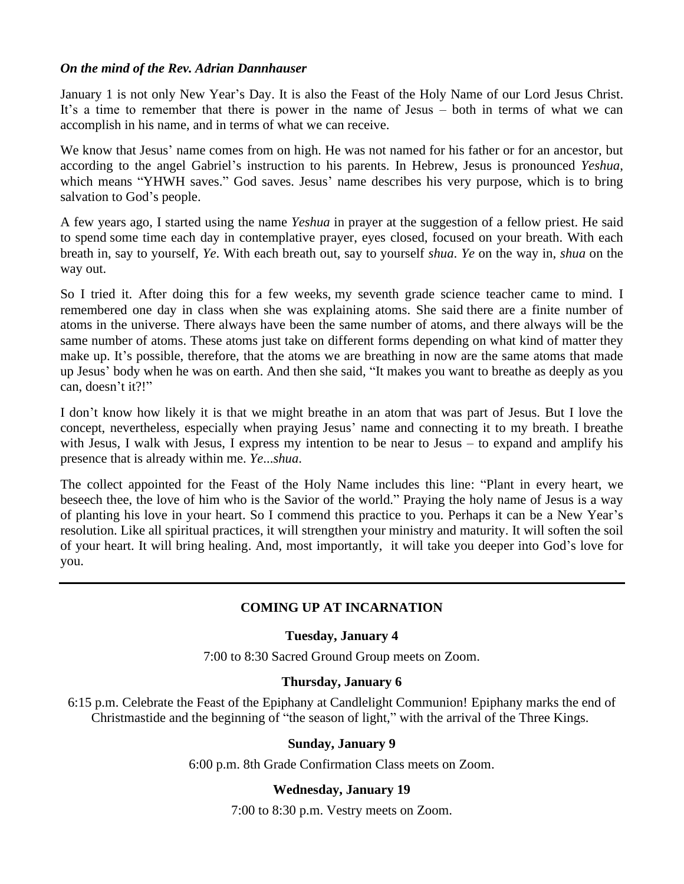### *On the mind of the Rev. Adrian Dannhauser*

January 1 is not only New Year's Day. It is also the Feast of the Holy Name of our Lord Jesus Christ. It's a time to remember that there is power in the name of Jesus – both in terms of what we can accomplish in his name, and in terms of what we can receive.

We know that Jesus' name comes from on high. He was not named for his father or for an ancestor, but according to the angel Gabriel's instruction to his parents. In Hebrew, Jesus is pronounced *Yeshua*, which means "YHWH saves." God saves. Jesus' name describes his very purpose, which is to bring salvation to God's people.

A few years ago, I started using the name *Yeshua* in prayer at the suggestion of a fellow priest. He said to spend some time each day in contemplative prayer, eyes closed, focused on your breath. With each breath in, say to yourself, *Ye*. With each breath out, say to yourself *shua*. *Ye* on the way in, *shua* on the way out.

So I tried it. After doing this for a few weeks, my seventh grade science teacher came to mind. I remembered one day in class when she was explaining atoms. She said there are a finite number of atoms in the universe. There always have been the same number of atoms, and there always will be the same number of atoms. These atoms just take on different forms depending on what kind of matter they make up. It's possible, therefore, that the atoms we are breathing in now are the same atoms that made up Jesus' body when he was on earth. And then she said, "It makes you want to breathe as deeply as you can, doesn't it?!"

I don't know how likely it is that we might breathe in an atom that was part of Jesus. But I love the concept, nevertheless, especially when praying Jesus' name and connecting it to my breath. I breathe with Jesus, I walk with Jesus, I express my intention to be near to Jesus – to expand and amplify his presence that is already within me. *Ye*...*shua*.

The collect appointed for the Feast of the Holy Name includes this line: "Plant in every heart, we beseech thee, the love of him who is the Savior of the world." Praying the holy name of Jesus is a way of planting his love in your heart. So I commend this practice to you. Perhaps it can be a New Year's resolution. Like all spiritual practices, it will strengthen your ministry and maturity. It will soften the soil of your heart. It will bring healing. And, most importantly, it will take you deeper into God's love for you.

### **COMING UP AT INCARNATION**

### **Tuesday, January 4**

7:00 to 8:30 Sacred Ground Group meets on Zoom.

### **Thursday, January 6**

6:15 p.m. Celebrate the Feast of the Epiphany at Candlelight Communion! Epiphany marks the end of Christmastide and the beginning of "the season of light," with the arrival of the Three Kings.

### **Sunday, January 9**

6:00 p.m. 8th Grade Confirmation Class meets on Zoom.

### **Wednesday, January 19**

7:00 to 8:30 p.m. Vestry meets on Zoom.